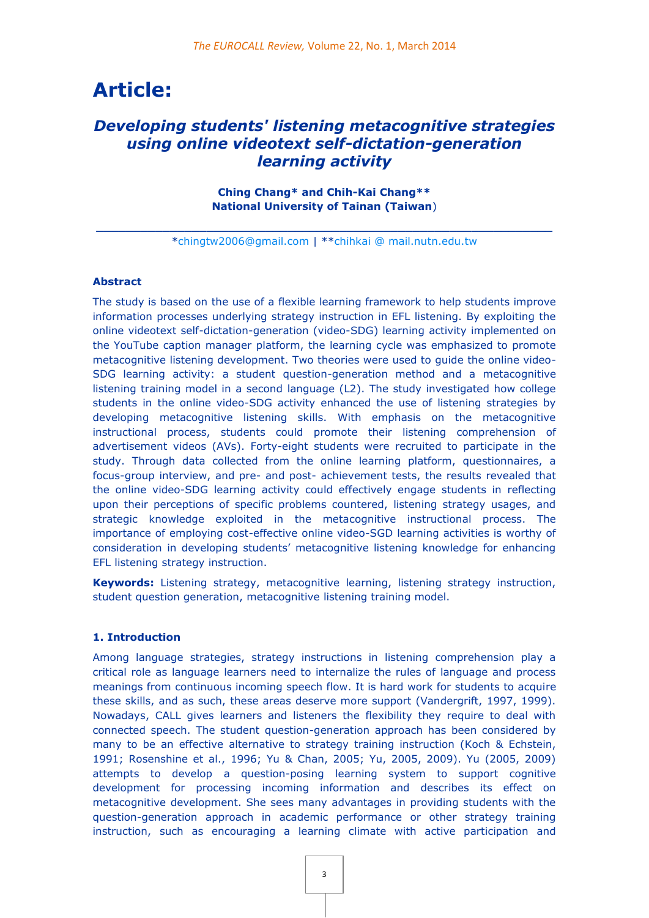# **Article:**

# *Developing students' listening metacognitive strategies using online videotext self-dictation-generation learning activity*

**Ching Chang\* and Chih-Kai Chang\*\* National University of Tainan (Taiwan**)

**\_\_\_\_\_\_\_\_\_\_\_\_\_\_\_\_\_\_\_\_\_\_\_\_\_\_\_\_\_\_\_\_\_\_\_\_\_\_\_\_\_\_\_\_\_\_\_\_\_\_\_\_\_\_\_\_\_\_\_\_\_\_** [\\*chingtw2006@gmail.com](mailto:chingtw2006@gmail.com) | \*[\\*chihkai @ mail.nutn.edu.tw](mailto:chihkai@mail.nutn.edu.tw)

#### **Abstract**

The study is based on the use of a flexible learning framework to help students improve information processes underlying strategy instruction in EFL listening. By exploiting the online videotext self-dictation-generation (video-SDG) learning activity implemented on the YouTube caption manager platform, the learning cycle was emphasized to promote metacognitive listening development. Two theories were used to guide the online video-SDG learning activity: a student question-generation method and a metacognitive listening training model in a second language (L2). The study investigated how college students in the online video-SDG activity enhanced the use of listening strategies by developing metacognitive listening skills. With emphasis on the metacognitive instructional process, students could promote their listening comprehension of advertisement videos (AVs). Forty-eight students were recruited to participate in the study. Through data collected from the online learning platform, questionnaires, a focus-group interview, and pre- and post- achievement tests, the results revealed that the online video-SDG learning activity could effectively engage students in reflecting upon their perceptions of specific problems countered, listening strategy usages, and strategic knowledge exploited in the metacognitive instructional process. The importance of employing cost-effective online video-SGD learning activities is worthy of consideration in developing students' metacognitive listening knowledge for enhancing EFL listening strategy instruction.

**Keywords:** Listening strategy, metacognitive learning, listening strategy instruction, student question generation, metacognitive listening training model.

# **1. Introduction**

Among language strategies, strategy instructions in listening comprehension play a critical role as language learners need to internalize the rules of language and process meanings from continuous incoming speech flow. It is hard work for students to acquire these skills, and as such, these areas deserve more support (Vandergrift, 1997, 1999). Nowadays, CALL gives learners and listeners the flexibility they require to deal with connected speech. The student question-generation approach has been considered by many to be an effective alternative to strategy training instruction (Koch & Echstein, 1991; Rosenshine et al., 1996; Yu & Chan, 2005; Yu, 2005, 2009). Yu (2005, 2009) attempts to develop a question-posing learning system to support cognitive development for processing incoming information and describes its effect on metacognitive development. She sees many advantages in providing students with the question-generation approach in academic performance or other strategy training instruction, such as encouraging a learning climate with active participation and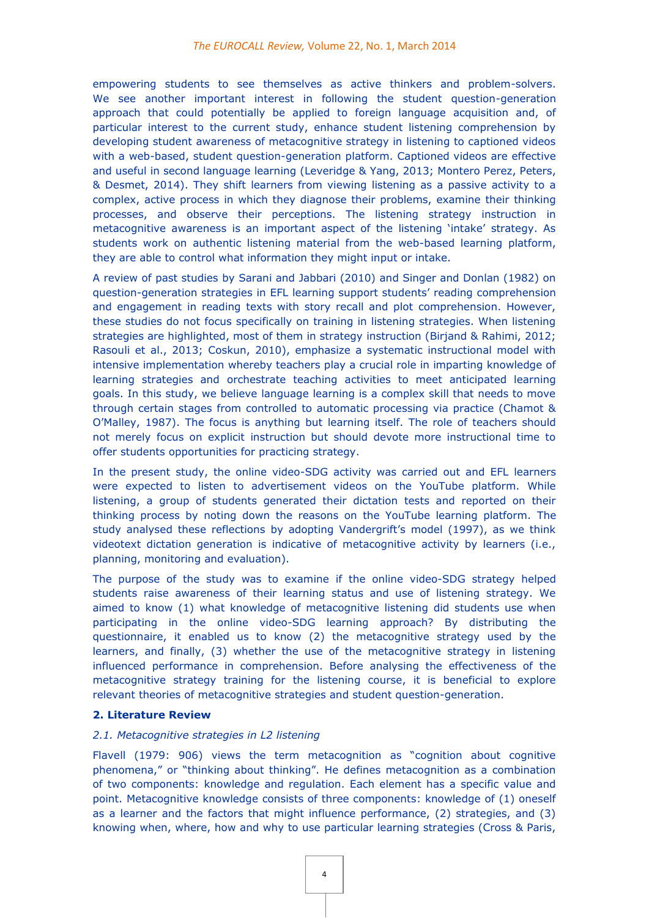empowering students to see themselves as active thinkers and problem-solvers. We see another important interest in following the student question-generation approach that could potentially be applied to foreign language acquisition and, of particular interest to the current study, enhance student listening comprehension by developing student awareness of metacognitive strategy in listening to captioned videos with a web-based, student question-generation platform. Captioned videos are effective and useful in second language learning (Leveridge & Yang, 2013; Montero Perez, Peters, & Desmet, 2014). They shift learners from viewing listening as a passive activity to a complex, active process in which they diagnose their problems, examine their thinking processes, and observe their perceptions. The listening strategy instruction in metacognitive awareness is an important aspect of the listening 'intake' strategy. As students work on authentic listening material from the web-based learning platform, they are able to control what information they might input or intake.

A review of past studies by Sarani and Jabbari (2010) and Singer and Donlan (1982) on question-generation strategies in EFL learning support students' reading comprehension and engagement in reading texts with story recall and plot comprehension. However, these studies do not focus specifically on training in listening strategies. When listening strategies are highlighted, most of them in strategy instruction (Birjand & Rahimi, 2012; Rasouli et al., 2013; Coskun, 2010), emphasize a systematic instructional model with intensive implementation whereby teachers play a crucial role in imparting knowledge of learning strategies and orchestrate teaching activities to meet anticipated learning goals. In this study, we believe language learning is a complex skill that needs to move through certain stages from controlled to automatic processing via practice (Chamot & O'Malley, 1987). The focus is anything but learning itself. The role of teachers should not merely focus on explicit instruction but should devote more instructional time to offer students opportunities for practicing strategy.

In the present study, the online video-SDG activity was carried out and EFL learners were expected to listen to advertisement videos on the YouTube platform. While listening, a group of students generated their dictation tests and reported on their thinking process by noting down the reasons on the YouTube learning platform. The study analysed these reflections by adopting Vandergrift's model (1997), as we think videotext dictation generation is indicative of metacognitive activity by learners (i.e., planning, monitoring and evaluation).

The purpose of the study was to examine if the online video-SDG strategy helped students raise awareness of their learning status and use of listening strategy. We aimed to know (1) what knowledge of metacognitive listening did students use when participating in the online video-SDG learning approach? By distributing the questionnaire, it enabled us to know (2) the metacognitive strategy used by the learners, and finally, (3) whether the use of the metacognitive strategy in listening influenced performance in comprehension. Before analysing the effectiveness of the metacognitive strategy training for the listening course, it is beneficial to explore relevant theories of metacognitive strategies and student question-generation.

# **2. Literature Review**

# *2.1. Metacognitive strategies in L2 listening*

Flavell (1979: 906) views the term metacognition as "cognition about cognitive phenomena," or "thinking about thinking". He defines metacognition as a combination of two components: knowledge and regulation. Each element has a specific value and point. Metacognitive knowledge consists of three components: knowledge of (1) oneself as a learner and the factors that might influence performance, (2) strategies, and (3) knowing when, where, how and why to use particular learning strategies (Cross & Paris,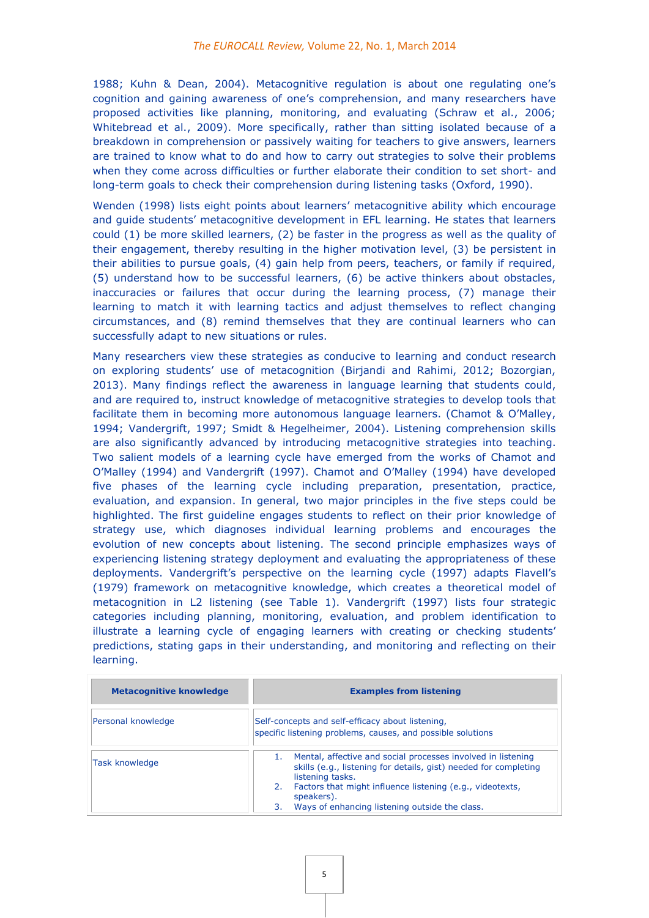1988; Kuhn & Dean, 2004). Metacognitive regulation is about one regulating one's cognition and gaining awareness of one's comprehension, and many researchers have proposed activities like planning, monitoring, and evaluating (Schraw et al., 2006; Whitebread et al., 2009). More specifically, rather than sitting isolated because of a breakdown in comprehension or passively waiting for teachers to give answers, learners are trained to know what to do and how to carry out strategies to solve their problems when they come across difficulties or further elaborate their condition to set short- and long-term goals to check their comprehension during listening tasks (Oxford, 1990).

Wenden (1998) lists eight points about learners' metacognitive ability which encourage and guide students' metacognitive development in EFL learning. He states that learners could (1) be more skilled learners, (2) be faster in the progress as well as the quality of their engagement, thereby resulting in the higher motivation level, (3) be persistent in their abilities to pursue goals, (4) gain help from peers, teachers, or family if required, (5) understand how to be successful learners, (6) be active thinkers about obstacles, inaccuracies or failures that occur during the learning process, (7) manage their learning to match it with learning tactics and adjust themselves to reflect changing circumstances, and (8) remind themselves that they are continual learners who can successfully adapt to new situations or rules.

Many researchers view these strategies as conducive to learning and conduct research on exploring students' use of metacognition (Birjandi and Rahimi, 2012; Bozorgian, 2013). Many findings reflect the awareness in language learning that students could, and are required to, instruct knowledge of metacognitive strategies to develop tools that facilitate them in becoming more autonomous language learners. (Chamot & O'Malley, 1994; Vandergrift, 1997; Smidt & Hegelheimer, 2004). Listening comprehension skills are also significantly advanced by introducing metacognitive strategies into teaching. Two salient models of a learning cycle have emerged from the works of Chamot and O'Malley (1994) and Vandergrift (1997). Chamot and O'Malley (1994) have developed five phases of the learning cycle including preparation, presentation, practice, evaluation, and expansion. In general, two major principles in the five steps could be highlighted. The first guideline engages students to reflect on their prior knowledge of strategy use, which diagnoses individual learning problems and encourages the evolution of new concepts about listening. The second principle emphasizes ways of experiencing listening strategy deployment and evaluating the appropriateness of these deployments. Vandergrift's perspective on the learning cycle (1997) adapts Flavell's (1979) framework on metacognitive knowledge, which creates a theoretical model of metacognition in L2 listening (see Table 1). Vandergrift (1997) lists four strategic categories including planning, monitoring, evaluation, and problem identification to illustrate a learning cycle of engaging learners with creating or checking students' predictions, stating gaps in their understanding, and monitoring and reflecting on their learning.

| <b>Metacognitive knowledge</b> | <b>Examples from listening</b>                                                                                                                                                                                          |  |  |
|--------------------------------|-------------------------------------------------------------------------------------------------------------------------------------------------------------------------------------------------------------------------|--|--|
| Personal knowledge             | Self-concepts and self-efficacy about listening,<br>specific listening problems, causes, and possible solutions                                                                                                         |  |  |
| Task knowledge                 | Mental, affective and social processes involved in listening<br>skills (e.g., listening for details, gist) needed for completing<br>listening tasks.<br>Factors that might influence listening (e.g., videotexts,<br>2. |  |  |
|                                | speakers).<br>Ways of enhancing listening outside the class.<br>3.                                                                                                                                                      |  |  |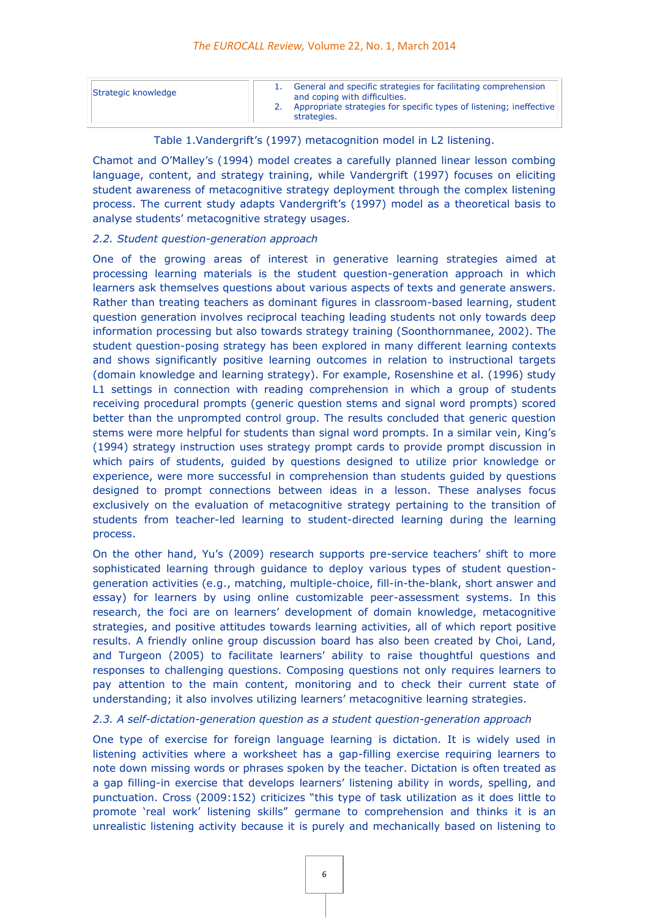| Strategic knowledge | General and specific strategies for facilitating comprehension<br>and coping with difficulties. |
|---------------------|-------------------------------------------------------------------------------------------------|
|                     | 2. Appropriate strategies for specific types of listening; ineffective<br>strategies.           |

#### Table 1.Vandergrift's (1997) metacognition model in L2 listening.

Chamot and O'Malley's (1994) model creates a carefully planned linear lesson combing language, content, and strategy training, while Vandergrift (1997) focuses on eliciting student awareness of metacognitive strategy deployment through the complex listening process. The current study adapts Vandergrift's (1997) model as a theoretical basis to analyse students' metacognitive strategy usages.

#### *2.2. Student question-generation approach*

One of the growing areas of interest in generative learning strategies aimed at processing learning materials is the student question-generation approach in which learners ask themselves questions about various aspects of texts and generate answers. Rather than treating teachers as dominant figures in classroom-based learning, student question generation involves reciprocal teaching leading students not only towards deep information processing but also towards strategy training (Soonthornmanee, 2002). The student question-posing strategy has been explored in many different learning contexts and shows significantly positive learning outcomes in relation to instructional targets (domain knowledge and learning strategy). For example, Rosenshine et al. (1996) study L1 settings in connection with reading comprehension in which a group of students receiving procedural prompts (generic question stems and signal word prompts) scored better than the unprompted control group. The results concluded that generic question stems were more helpful for students than signal word prompts. In a similar vein, King's (1994) strategy instruction uses strategy prompt cards to provide prompt discussion in which pairs of students, guided by questions designed to utilize prior knowledge or experience, were more successful in comprehension than students guided by questions designed to prompt connections between ideas in a lesson. These analyses focus exclusively on the evaluation of metacognitive strategy pertaining to the transition of students from teacher-led learning to student-directed learning during the learning process.

On the other hand, Yu's (2009) research supports pre-service teachers' shift to more sophisticated learning through guidance to deploy various types of student questiongeneration activities (e.g., matching, multiple-choice, fill-in-the-blank, short answer and essay) for learners by using online customizable peer-assessment systems. In this research, the foci are on learners' development of domain knowledge, metacognitive strategies, and positive attitudes towards learning activities, all of which report positive results. A friendly online group discussion board has also been created by Choi, Land, and Turgeon (2005) to facilitate learners' ability to raise thoughtful questions and responses to challenging questions. Composing questions not only requires learners to pay attention to the main content, monitoring and to check their current state of understanding; it also involves utilizing learners' metacognitive learning strategies.

## *2.3. A self-dictation-generation question as a student question-generation approach*

One type of exercise for foreign language learning is dictation. It is widely used in listening activities where a worksheet has a gap-filling exercise requiring learners to note down missing words or phrases spoken by the teacher. Dictation is often treated as a gap filling-in exercise that develops learners' listening ability in words, spelling, and punctuation. Cross (2009:152) criticizes "this type of task utilization as it does little to promote 'real work' listening skills" germane to comprehension and thinks it is an unrealistic listening activity because it is purely and mechanically based on listening to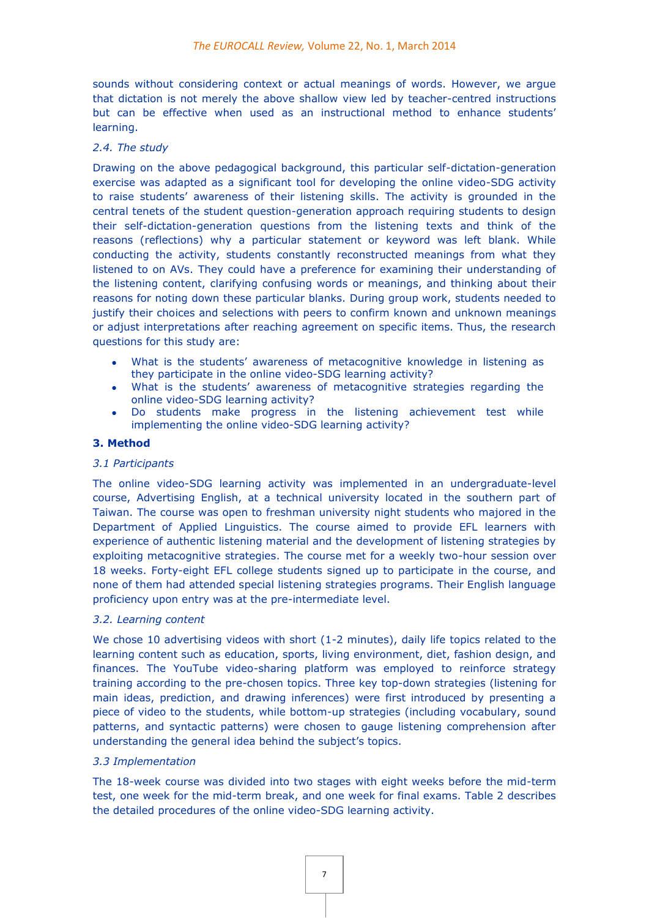sounds without considering context or actual meanings of words. However, we argue that dictation is not merely the above shallow view led by teacher-centred instructions but can be effective when used as an instructional method to enhance students' learning.

## *2.4. The study*

Drawing on the above pedagogical background, this particular self-dictation-generation exercise was adapted as a significant tool for developing the online video-SDG activity to raise students' awareness of their listening skills. The activity is grounded in the central tenets of the student question-generation approach requiring students to design their self-dictation-generation questions from the listening texts and think of the reasons (reflections) why a particular statement or keyword was left blank. While conducting the activity, students constantly reconstructed meanings from what they listened to on AVs. They could have a preference for examining their understanding of the listening content, clarifying confusing words or meanings, and thinking about their reasons for noting down these particular blanks. During group work, students needed to justify their choices and selections with peers to confirm known and unknown meanings or adiust interpretations after reaching agreement on specific items. Thus, the research questions for this study are:

- What is the students' awareness of metacognitive knowledge in listening as they participate in the online video-SDG learning activity?
- What is the students' awareness of metacognitive strategies regarding the online video-SDG learning activity?
- Do students make progress in the listening achievement test while implementing the online video-SDG learning activity?

## **3. Method**

#### *3.1 Participants*

The online video-SDG learning activity was implemented in an undergraduate-level course, Advertising English, at a technical university located in the southern part of Taiwan. The course was open to freshman university night students who majored in the Department of Applied Linguistics. The course aimed to provide EFL learners with experience of authentic listening material and the development of listening strategies by exploiting metacognitive strategies. The course met for a weekly two-hour session over 18 weeks. Forty-eight EFL college students signed up to participate in the course, and none of them had attended special listening strategies programs. Their English language proficiency upon entry was at the pre-intermediate level.

#### *3.2. Learning content*

We chose 10 advertising videos with short (1-2 minutes), daily life topics related to the learning content such as education, sports, living environment, diet, fashion design, and finances. The YouTube video-sharing platform was employed to reinforce strategy training according to the pre-chosen topics. Three key top-down strategies (listening for main ideas, prediction, and drawing inferences) were first introduced by presenting a piece of video to the students, while bottom-up strategies (including vocabulary, sound patterns, and syntactic patterns) were chosen to gauge listening comprehension after understanding the general idea behind the subject's topics.

#### *3.3 Implementation*

The 18-week course was divided into two stages with eight weeks before the mid-term test, one week for the mid-term break, and one week for final exams. Table 2 describes the detailed procedures of the online video-SDG learning activity.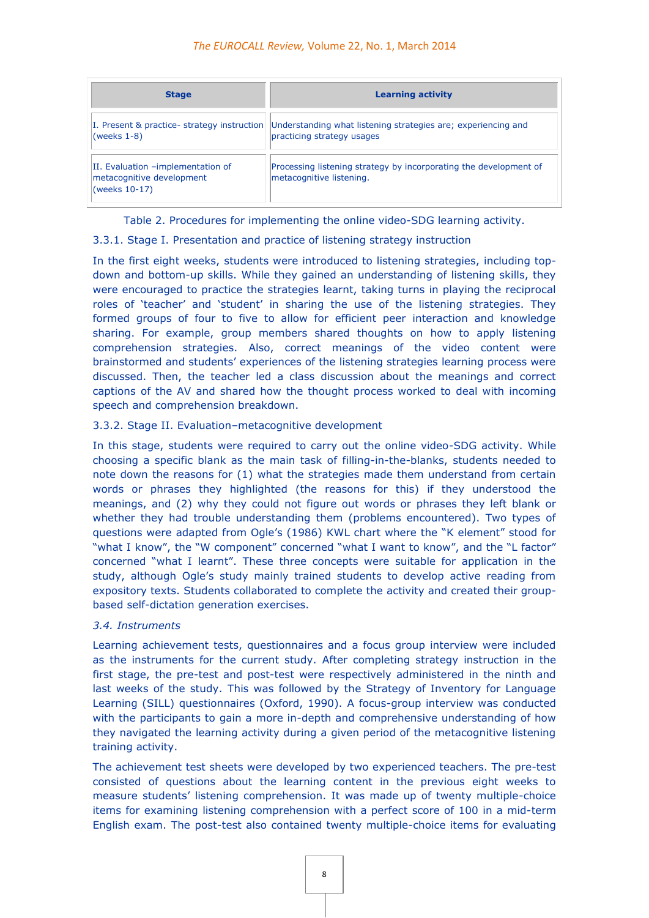| <b>Stage</b>                                                                    | <b>Learning activity</b>                                                                      |
|---------------------------------------------------------------------------------|-----------------------------------------------------------------------------------------------|
| I. Present & practice- strategy instruction<br>(weeks $1-8$ )                   | Understanding what listening strategies are; experiencing and<br>practicing strategy usages   |
| II. Evaluation -implementation of<br>metacognitive development<br>(weeks 10-17) | Processing listening strategy by incorporating the development of<br>metacognitive listening. |

Table 2. Procedures for implementing the online video-SDG learning activity.

# 3.3.1. Stage I. Presentation and practice of listening strategy instruction

In the first eight weeks, students were introduced to listening strategies, including topdown and bottom-up skills. While they gained an understanding of listening skills, they were encouraged to practice the strategies learnt, taking turns in playing the reciprocal roles of 'teacher' and 'student' in sharing the use of the listening strategies. They formed groups of four to five to allow for efficient peer interaction and knowledge sharing. For example, group members shared thoughts on how to apply listening comprehension strategies. Also, correct meanings of the video content were brainstormed and students' experiences of the listening strategies learning process were discussed. Then, the teacher led a class discussion about the meanings and correct captions of the AV and shared how the thought process worked to deal with incoming speech and comprehension breakdown.

# 3.3.2. Stage II. Evaluation–metacognitive development

In this stage, students were required to carry out the online video-SDG activity. While choosing a specific blank as the main task of filling-in-the-blanks, students needed to note down the reasons for (1) what the strategies made them understand from certain words or phrases they highlighted (the reasons for this) if they understood the meanings, and (2) why they could not figure out words or phrases they left blank or whether they had trouble understanding them (problems encountered). Two types of questions were adapted from Ogle's (1986) KWL chart where the "K element" stood for "what I know", the "W component" concerned "what I want to know", and the "L factor" concerned "what I learnt". These three concepts were suitable for application in the study, although Ogle's study mainly trained students to develop active reading from expository texts. Students collaborated to complete the activity and created their groupbased self-dictation generation exercises.

# *3.4. Instruments*

Learning achievement tests, questionnaires and a focus group interview were included as the instruments for the current study. After completing strategy instruction in the first stage, the pre-test and post-test were respectively administered in the ninth and last weeks of the study. This was followed by the Strategy of Inventory for Language Learning (SILL) questionnaires (Oxford, 1990). A focus-group interview was conducted with the participants to gain a more in-depth and comprehensive understanding of how they navigated the learning activity during a given period of the metacognitive listening training activity.

The achievement test sheets were developed by two experienced teachers. The pre-test consisted of questions about the learning content in the previous eight weeks to measure students' listening comprehension. It was made up of twenty multiple-choice items for examining listening comprehension with a perfect score of 100 in a mid-term English exam. The post-test also contained twenty multiple-choice items for evaluating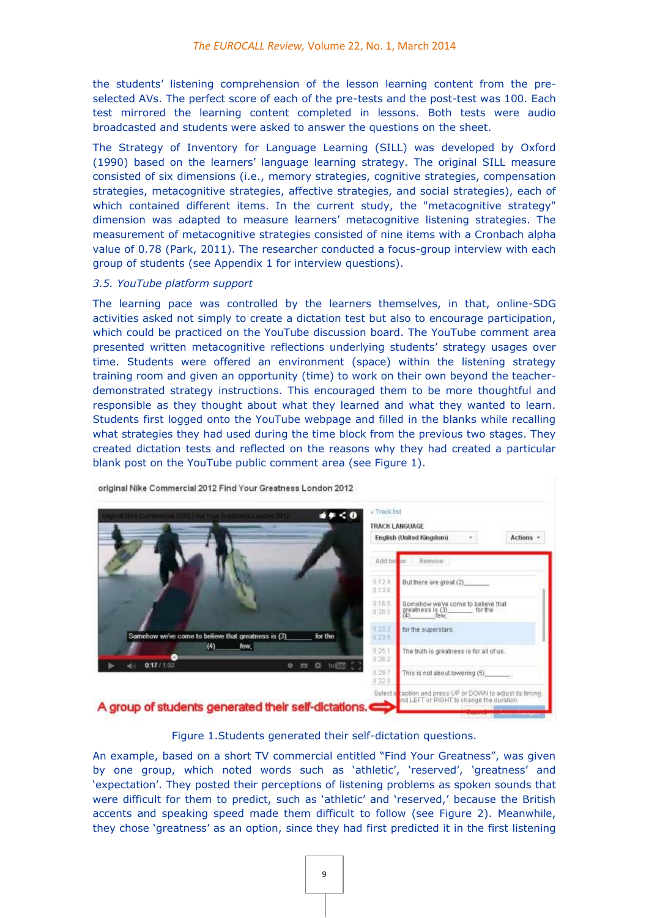the students' listening comprehension of the lesson learning content from the preselected AVs. The perfect score of each of the pre-tests and the post-test was 100. Each test mirrored the learning content completed in lessons. Both tests were audio broadcasted and students were asked to answer the questions on the sheet.

The Strategy of Inventory for Language Learning (SILL) was developed by Oxford (1990) based on the learners' language learning strategy. The original SILL measure consisted of six dimensions (i.e., memory strategies, cognitive strategies, compensation strategies, metacognitive strategies, affective strategies, and social strategies), each of which contained different items. In the current study, the "metacognitive strategy" dimension was adapted to measure learners' metacognitive listening strategies. The measurement of metacognitive strategies consisted of nine items with a Cronbach alpha value of 0.78 (Park, 2011). The researcher conducted a focus-group interview with each group of students (see Appendix 1 for interview questions).

#### *3.5. YouTube platform support*

The learning pace was controlled by the learners themselves, in that, online-SDG activities asked not simply to create a dictation test but also to encourage participation, which could be practiced on the YouTube discussion board. The YouTube comment area presented written metacognitive reflections underlying students' strategy usages over time. Students were offered an environment (space) within the listening strategy training room and given an opportunity (time) to work on their own beyond the teacherdemonstrated strategy instructions. This encouraged them to be more thoughtful and responsible as they thought about what they learned and what they wanted to learn. Students first logged onto the YouTube webpage and filled in the blanks while recalling what strategies they had used during the time block from the previous two stages. They created dictation tests and reflected on the reasons why they had created a particular blank post on the YouTube public comment area (see Figure 1).



Figure 1.Students generated their self-dictation questions.

An example, based on a short TV commercial entitled "Find Your Greatness", was given by one group, which noted words such as 'athletic', 'reserved', 'greatness' and 'expectation'. They posted their perceptions of listening problems as spoken sounds that were difficult for them to predict, such as 'athletic' and 'reserved,' because the British accents and speaking speed made them difficult to follow (see Figure 2). Meanwhile, they chose 'greatness' as an option, since they had first predicted it in the first listening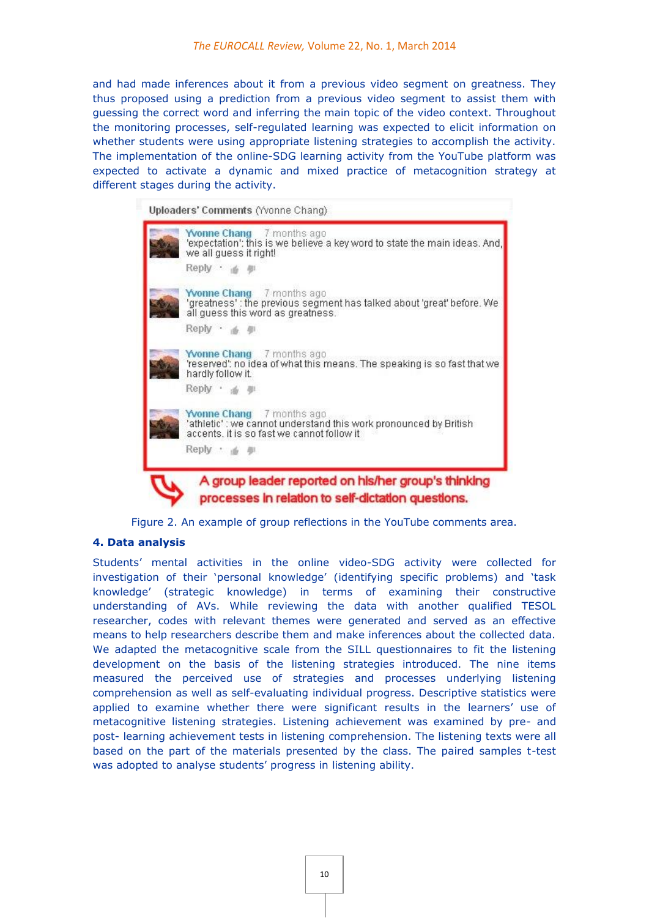and had made inferences about it from a previous video segment on greatness. They thus proposed using a prediction from a previous video segment to assist them with guessing the correct word and inferring the main topic of the video context. Throughout the monitoring processes, self-regulated learning was expected to elicit information on whether students were using appropriate listening strategies to accomplish the activity. The implementation of the online-SDG learning activity from the YouTube platform was expected to activate a dynamic and mixed practice of metacognition strategy at different stages during the activity.



Figure 2. An example of group reflections in the YouTube comments area.

# **4. Data analysis**

Students' mental activities in the online video-SDG activity were collected for investigation of their 'personal knowledge' (identifying specific problems) and 'task knowledge' (strategic knowledge) in terms of examining their constructive understanding of AVs. While reviewing the data with another qualified TESOL researcher, codes with relevant themes were generated and served as an effective means to help researchers describe them and make inferences about the collected data. We adapted the metacognitive scale from the SILL questionnaires to fit the listening development on the basis of the listening strategies introduced. The nine items measured the perceived use of strategies and processes underlying listening comprehension as well as self-evaluating individual progress. Descriptive statistics were applied to examine whether there were significant results in the learners' use of metacognitive listening strategies. Listening achievement was examined by pre- and post- learning achievement tests in listening comprehension. The listening texts were all based on the part of the materials presented by the class. The paired samples t-test was adopted to analyse students' progress in listening ability.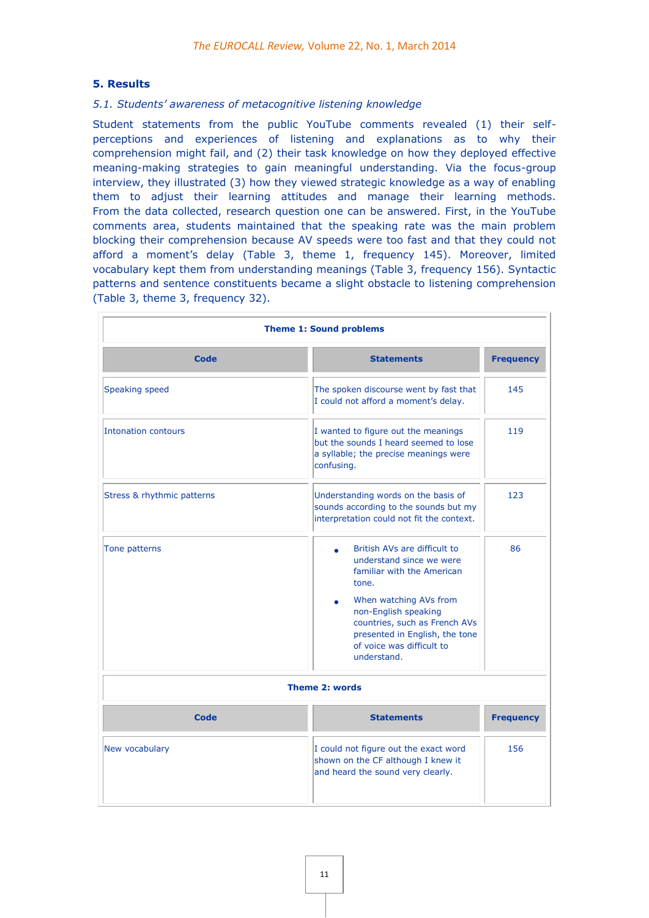# **5. Results**

# *5.1. Students' awareness of metacognitive listening knowledge*

Student statements from the public YouTube comments revealed (1) their selfperceptions and experiences of listening and explanations as to why their comprehension might fail, and (2) their task knowledge on how they deployed effective meaning-making strategies to gain meaningful understanding. Via the focus-group interview, they illustrated (3) how they viewed strategic knowledge as a way of enabling them to adjust their learning attitudes and manage their learning methods. From the data collected, research question one can be answered. First, in the YouTube comments area, students maintained that the speaking rate was the main problem blocking their comprehension because AV speeds were too fast and that they could not afford a moment's delay (Table 3, theme 1, frequency 145). Moreover, limited vocabulary kept them from understanding meanings (Table 3, frequency 156). Syntactic patterns and sentence constituents became a slight obstacle to listening comprehension (Table 3, theme 3, frequency 32).

| <b>Theme 1: Sound problems</b> |                                                                                                                                                                                                                                                                       |                  |  |
|--------------------------------|-----------------------------------------------------------------------------------------------------------------------------------------------------------------------------------------------------------------------------------------------------------------------|------------------|--|
| Code                           | <b>Statements</b>                                                                                                                                                                                                                                                     | <b>Frequency</b> |  |
| Speaking speed                 | The spoken discourse went by fast that<br>I could not afford a moment's delay.                                                                                                                                                                                        | 145              |  |
| <b>Intonation contours</b>     | 119<br>I wanted to figure out the meanings<br>but the sounds I heard seemed to lose<br>a syllable; the precise meanings were<br>confusing.                                                                                                                            |                  |  |
| Stress & rhythmic patterns     | Understanding words on the basis of<br>sounds according to the sounds but my<br>interpretation could not fit the context.                                                                                                                                             |                  |  |
| Tone patterns                  | British AVs are difficult to<br>٠<br>understand since we were<br>familiar with the American<br>tone.<br>When watching AVs from<br>non-English speaking<br>countries, such as French AVs<br>presented in English, the tone<br>of voice was difficult to<br>understand. | 86               |  |
|                                | <b>Theme 2: words</b>                                                                                                                                                                                                                                                 |                  |  |
| <b>Code</b>                    | <b>Statements</b>                                                                                                                                                                                                                                                     | <b>Frequency</b> |  |
| New vocabulary                 | I could not figure out the exact word<br>shown on the CF although I knew it<br>and heard the sound very clearly.                                                                                                                                                      | 156              |  |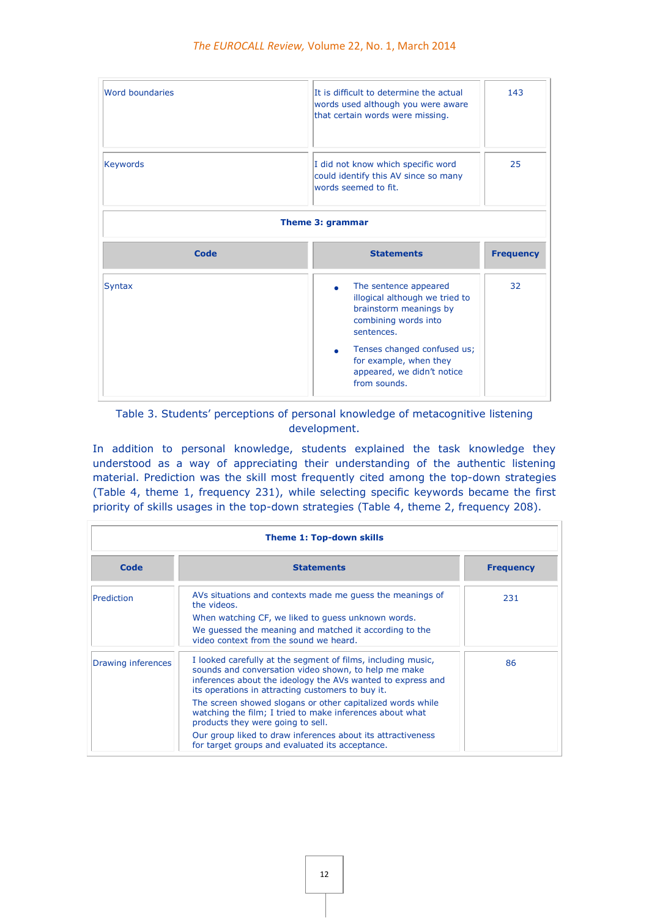| Word boundaries                               | It is difficult to determine the actual<br>words used although you were aware<br>that certain words were missing.                                                                | 143 |  |  |
|-----------------------------------------------|----------------------------------------------------------------------------------------------------------------------------------------------------------------------------------|-----|--|--|
| <b>Keywords</b>                               | I did not know which specific word<br>could identify this AV since so many<br>words seemed to fit.                                                                               |     |  |  |
|                                               | Theme 3: grammar                                                                                                                                                                 |     |  |  |
| Code<br><b>Statements</b><br><b>Frequency</b> |                                                                                                                                                                                  |     |  |  |
| <b>Syntax</b>                                 | The sentence appeared<br>illogical although we tried to<br>brainstorm meanings by<br>combining words into<br>sentences.<br>Tenses changed confused us;<br>for example, when they | 32  |  |  |

# Table 3. Students' perceptions of personal knowledge of metacognitive listening development.

In addition to personal knowledge, students explained the task knowledge they understood as a way of appreciating their understanding of the authentic listening material. Prediction was the skill most frequently cited among the top-down strategies (Table 4, theme 1, frequency 231), while selecting specific keywords became the first priority of skills usages in the top-down strategies (Table 4, theme 2, frequency 208).

| <b>Theme 1: Top-down skills</b> |                                                                                                                                                                                                                                          |                  |  |
|---------------------------------|------------------------------------------------------------------------------------------------------------------------------------------------------------------------------------------------------------------------------------------|------------------|--|
| Code                            | <b>Statements</b>                                                                                                                                                                                                                        | <b>Frequency</b> |  |
| Prediction                      | AVs situations and contexts made me quess the meanings of<br>the videos.                                                                                                                                                                 | 231              |  |
|                                 | When watching CF, we liked to guess unknown words.                                                                                                                                                                                       |                  |  |
|                                 | We quessed the meaning and matched it according to the<br>video context from the sound we heard.                                                                                                                                         |                  |  |
| Drawing inferences              | I looked carefully at the segment of films, including music,<br>sounds and conversation video shown, to help me make<br>inferences about the ideology the AVs wanted to express and<br>its operations in attracting customers to buy it. | 86               |  |
|                                 | The screen showed slogans or other capitalized words while<br>watching the film; I tried to make inferences about what<br>products they were going to sell.                                                                              |                  |  |
|                                 | Our group liked to draw inferences about its attractiveness<br>for target groups and evaluated its acceptance.                                                                                                                           |                  |  |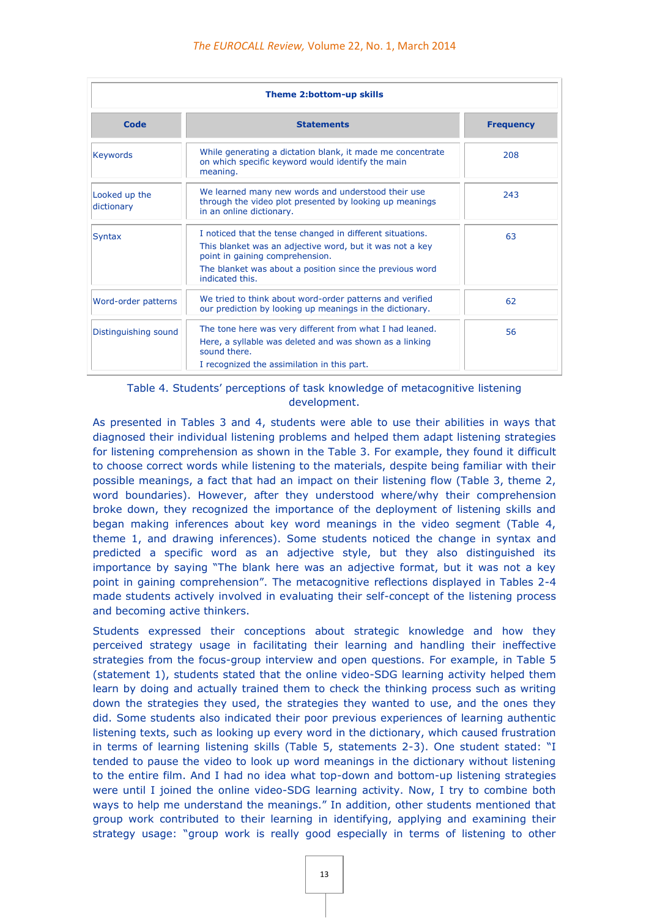| <b>Theme 2:bottom-up skills</b> |                                                                                                                                                                                                                                         |                  |  |
|---------------------------------|-----------------------------------------------------------------------------------------------------------------------------------------------------------------------------------------------------------------------------------------|------------------|--|
| Code                            | <b>Statements</b>                                                                                                                                                                                                                       | <b>Frequency</b> |  |
| <b>Keywords</b>                 | While generating a dictation blank, it made me concentrate<br>on which specific keyword would identify the main<br>meaning.                                                                                                             | 208              |  |
| Looked up the<br>dictionary     | We learned many new words and understood their use<br>through the video plot presented by looking up meanings<br>in an online dictionary.                                                                                               | 243              |  |
| <b>Syntax</b>                   | I noticed that the tense changed in different situations.<br>This blanket was an adjective word, but it was not a key<br>point in gaining comprehension.<br>The blanket was about a position since the previous word<br>indicated this. | 63               |  |
| Word-order patterns             | We tried to think about word-order patterns and verified<br>our prediction by looking up meanings in the dictionary.                                                                                                                    | 62               |  |
| Distinguishing sound            | The tone here was very different from what I had leaned.<br>Here, a syllable was deleted and was shown as a linking<br>sound there.<br>I recognized the assimilation in this part.                                                      | 56               |  |

Table 4. Students' perceptions of task knowledge of metacognitive listening development.

As presented in Tables 3 and 4, students were able to use their abilities in ways that diagnosed their individual listening problems and helped them adapt listening strategies for listening comprehension as shown in the Table 3. For example, they found it difficult to choose correct words while listening to the materials, despite being familiar with their possible meanings, a fact that had an impact on their listening flow (Table 3, theme 2, word boundaries). However, after they understood where/why their comprehension broke down, they recognized the importance of the deployment of listening skills and began making inferences about key word meanings in the video segment (Table 4, theme 1, and drawing inferences). Some students noticed the change in syntax and predicted a specific word as an adjective style, but they also distinguished its importance by saying "The blank here was an adjective format, but it was not a key point in gaining comprehension". The metacognitive reflections displayed in Tables 2-4 made students actively involved in evaluating their self-concept of the listening process and becoming active thinkers.

Students expressed their conceptions about strategic knowledge and how they perceived strategy usage in facilitating their learning and handling their ineffective strategies from the focus-group interview and open questions. For example, in Table 5 (statement 1), students stated that the online video-SDG learning activity helped them learn by doing and actually trained them to check the thinking process such as writing down the strategies they used, the strategies they wanted to use, and the ones they did. Some students also indicated their poor previous experiences of learning authentic listening texts, such as looking up every word in the dictionary, which caused frustration in terms of learning listening skills (Table 5, statements 2-3). One student stated: "I tended to pause the video to look up word meanings in the dictionary without listening to the entire film. And I had no idea what top-down and bottom-up listening strategies were until I joined the online video-SDG learning activity. Now, I try to combine both ways to help me understand the meanings." In addition, other students mentioned that group work contributed to their learning in identifying, applying and examining their strategy usage: "group work is really good especially in terms of listening to other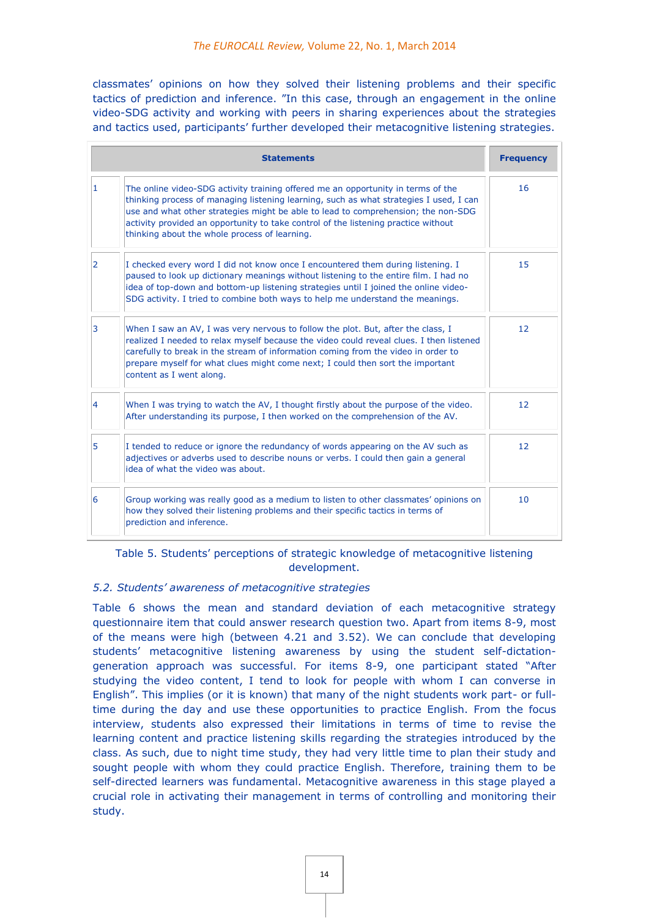classmates' opinions on how they solved their listening problems and their specific tactics of prediction and inference. "In this case, through an engagement in the online video-SDG activity and working with peers in sharing experiences about the strategies and tactics used, participants' further developed their metacognitive listening strategies.

|                | <b>Statements</b>                                                                                                                                                                                                                                                                                                                                                                                      | <b>Frequency</b>  |
|----------------|--------------------------------------------------------------------------------------------------------------------------------------------------------------------------------------------------------------------------------------------------------------------------------------------------------------------------------------------------------------------------------------------------------|-------------------|
| 1              | The online video-SDG activity training offered me an opportunity in terms of the<br>thinking process of managing listening learning, such as what strategies I used, I can<br>use and what other strategies might be able to lead to comprehension; the non-SDG<br>activity provided an opportunity to take control of the listening practice without<br>thinking about the whole process of learning. | 16                |
| $\overline{2}$ | I checked every word I did not know once I encountered them during listening. I<br>paused to look up dictionary meanings without listening to the entire film. I had no<br>idea of top-down and bottom-up listening strategies until I joined the online video-<br>SDG activity. I tried to combine both ways to help me understand the meanings.                                                      | 15                |
| 3              | When I saw an AV, I was very nervous to follow the plot. But, after the class, I<br>realized I needed to relax myself because the video could reveal clues. I then listened<br>carefully to break in the stream of information coming from the video in order to<br>prepare myself for what clues might come next; I could then sort the important<br>content as I went along.                         | $12 \overline{ }$ |
| $\overline{4}$ | When I was trying to watch the AV, I thought firstly about the purpose of the video.<br>After understanding its purpose, I then worked on the comprehension of the AV.                                                                                                                                                                                                                                 | 12                |
| 5              | I tended to reduce or ignore the redundancy of words appearing on the AV such as<br>adjectives or adverbs used to describe nouns or verbs. I could then gain a general<br>idea of what the video was about.                                                                                                                                                                                            | 12                |
| 6              | Group working was really good as a medium to listen to other classmates' opinions on<br>how they solved their listening problems and their specific tactics in terms of<br>prediction and inference.                                                                                                                                                                                                   | 10                |

# Table 5. Students' perceptions of strategic knowledge of metacognitive listening development.

# *5.2. Students' awareness of metacognitive strategies*

Table 6 shows the mean and standard deviation of each metacognitive strategy questionnaire item that could answer research question two. Apart from items 8-9, most of the means were high (between 4.21 and 3.52). We can conclude that developing students' metacognitive listening awareness by using the student self-dictationgeneration approach was successful. For items 8-9, one participant stated "After studying the video content, I tend to look for people with whom I can converse in English". This implies (or it is known) that many of the night students work part- or fulltime during the day and use these opportunities to practice English. From the focus interview, students also expressed their limitations in terms of time to revise the learning content and practice listening skills regarding the strategies introduced by the class. As such, due to night time study, they had very little time to plan their study and sought people with whom they could practice English. Therefore, training them to be self-directed learners was fundamental. Metacognitive awareness in this stage played a crucial role in activating their management in terms of controlling and monitoring their study.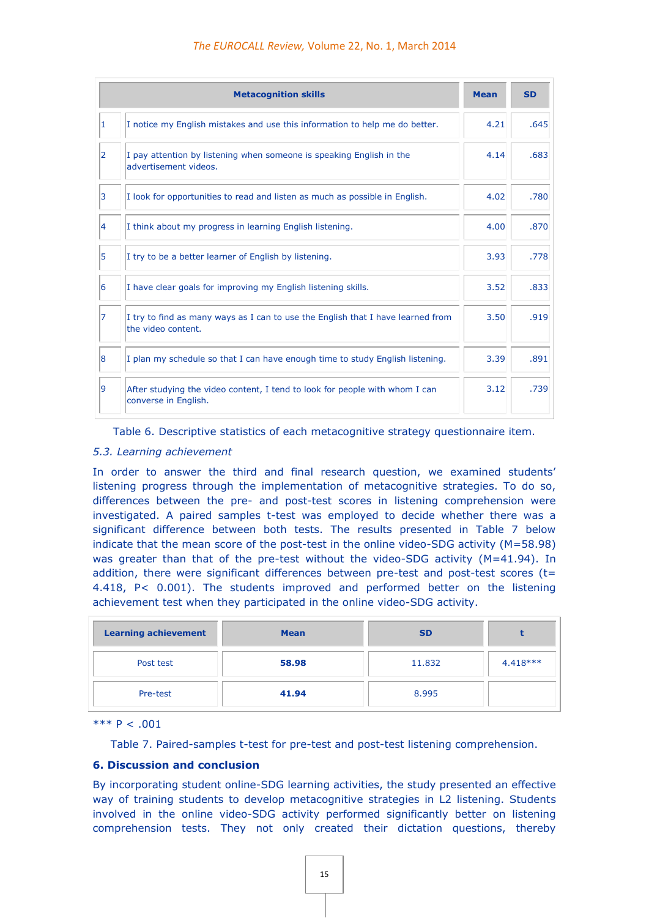|   | <b>Metacognition skills</b>                                                                           | <b>Mean</b> | <b>SD</b> |
|---|-------------------------------------------------------------------------------------------------------|-------------|-----------|
| 1 | I notice my English mistakes and use this information to help me do better.                           | 4.21        | .645      |
| 2 | I pay attention by listening when someone is speaking English in the<br>advertisement videos.         | 4.14        | .683      |
| 3 | I look for opportunities to read and listen as much as possible in English.                           | 4.02        | .780      |
| 4 | I think about my progress in learning English listening.                                              | 4.00        | .870      |
| 5 | I try to be a better learner of English by listening.                                                 | 3.93        | .778      |
| 6 | I have clear goals for improving my English listening skills.                                         | 3.52        | .833      |
| 7 | I try to find as many ways as I can to use the English that I have learned from<br>the video content. | 3.50        | .919      |
| 8 | I plan my schedule so that I can have enough time to study English listening.                         | 3.39        | .891      |
| 9 | After studying the video content, I tend to look for people with whom I can<br>converse in English.   | 3.12        | .739      |

Table 6. Descriptive statistics of each metacognitive strategy questionnaire item.

#### *5.3. Learning achievement*

In order to answer the third and final research question, we examined students' listening progress through the implementation of metacognitive strategies. To do so, differences between the pre- and post-test scores in listening comprehension were investigated. A paired samples t-test was employed to decide whether there was a significant difference between both tests. The results presented in Table 7 below indicate that the mean score of the post-test in the online video-SDG activity (M=58.98) was greater than that of the pre-test without the video-SDG activity (M=41.94). In addition, there were significant differences between pre-test and post-test scores ( $t=$ 4.418, P< 0.001). The students improved and performed better on the listening achievement test when they participated in the online video-SDG activity.

| <b>Learning achievement</b> | <b>Mean</b> | <b>SD</b> |            |
|-----------------------------|-------------|-----------|------------|
| Post test                   | 58.98       | 11,832    | $4.418***$ |
| Pre-test                    | 41.94       | 8.995     |            |

\*\*\*  $P < .001$ 

Table 7. Paired-samples t-test for pre-test and post-test listening comprehension.

#### **6. Discussion and conclusion**

By incorporating student online-SDG learning activities, the study presented an effective way of training students to develop metacognitive strategies in L2 listening. Students involved in the online video-SDG activity performed significantly better on listening comprehension tests. They not only created their dictation questions, thereby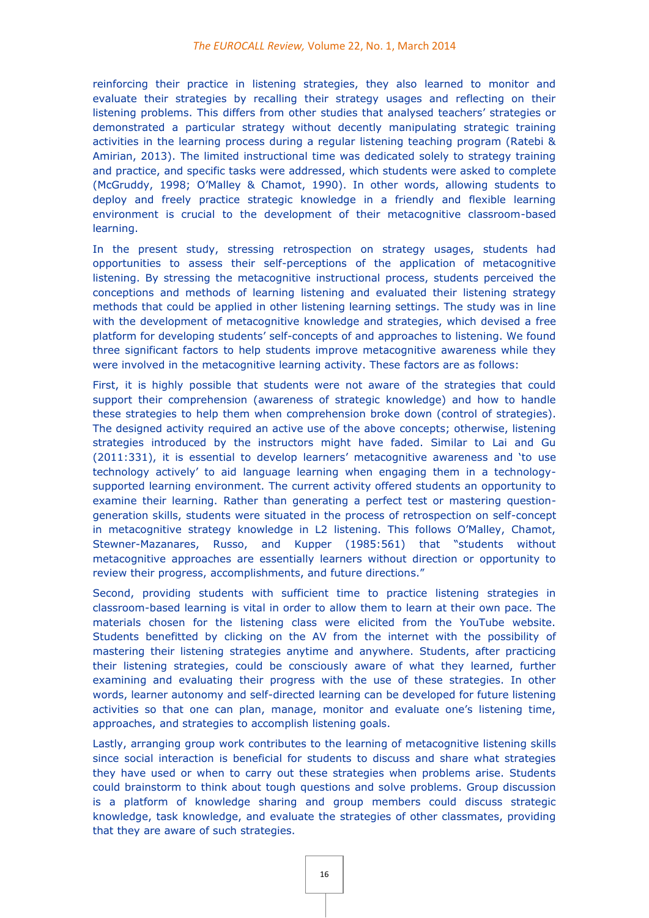reinforcing their practice in listening strategies, they also learned to monitor and evaluate their strategies by recalling their strategy usages and reflecting on their listening problems. This differs from other studies that analysed teachers' strategies or demonstrated a particular strategy without decently manipulating strategic training activities in the learning process during a regular listening teaching program (Ratebi & Amirian, 2013). The limited instructional time was dedicated solely to strategy training and practice, and specific tasks were addressed, which students were asked to complete (McGruddy, 1998; O'Malley & Chamot, 1990). In other words, allowing students to deploy and freely practice strategic knowledge in a friendly and flexible learning environment is crucial to the development of their metacognitive classroom-based learning.

In the present study, stressing retrospection on strategy usages, students had opportunities to assess their self-perceptions of the application of metacognitive listening. By stressing the metacognitive instructional process, students perceived the conceptions and methods of learning listening and evaluated their listening strategy methods that could be applied in other listening learning settings. The study was in line with the development of metacognitive knowledge and strategies, which devised a free platform for developing students' self-concepts of and approaches to listening. We found three significant factors to help students improve metacognitive awareness while they were involved in the metacognitive learning activity. These factors are as follows:

First, it is highly possible that students were not aware of the strategies that could support their comprehension (awareness of strategic knowledge) and how to handle these strategies to help them when comprehension broke down (control of strategies). The designed activity required an active use of the above concepts; otherwise, listening strategies introduced by the instructors might have faded. Similar to Lai and Gu (2011:331), it is essential to develop learners' metacognitive awareness and 'to use technology actively' to aid language learning when engaging them in a technologysupported learning environment. The current activity offered students an opportunity to examine their learning. Rather than generating a perfect test or mastering questiongeneration skills, students were situated in the process of retrospection on self-concept in metacognitive strategy knowledge in L2 listening. This follows O'Malley, Chamot, Stewner-Mazanares, Russo, and Kupper (1985:561) that "students without metacognitive approaches are essentially learners without direction or opportunity to review their progress, accomplishments, and future directions."

Second, providing students with sufficient time to practice listening strategies in classroom-based learning is vital in order to allow them to learn at their own pace. The materials chosen for the listening class were elicited from the YouTube website. Students benefitted by clicking on the AV from the internet with the possibility of mastering their listening strategies anytime and anywhere. Students, after practicing their listening strategies, could be consciously aware of what they learned, further examining and evaluating their progress with the use of these strategies. In other words, learner autonomy and self-directed learning can be developed for future listening activities so that one can plan, manage, monitor and evaluate one's listening time, approaches, and strategies to accomplish listening goals.

Lastly, arranging group work contributes to the learning of metacognitive listening skills since social interaction is beneficial for students to discuss and share what strategies they have used or when to carry out these strategies when problems arise. Students could brainstorm to think about tough questions and solve problems. Group discussion is a platform of knowledge sharing and group members could discuss strategic knowledge, task knowledge, and evaluate the strategies of other classmates, providing that they are aware of such strategies.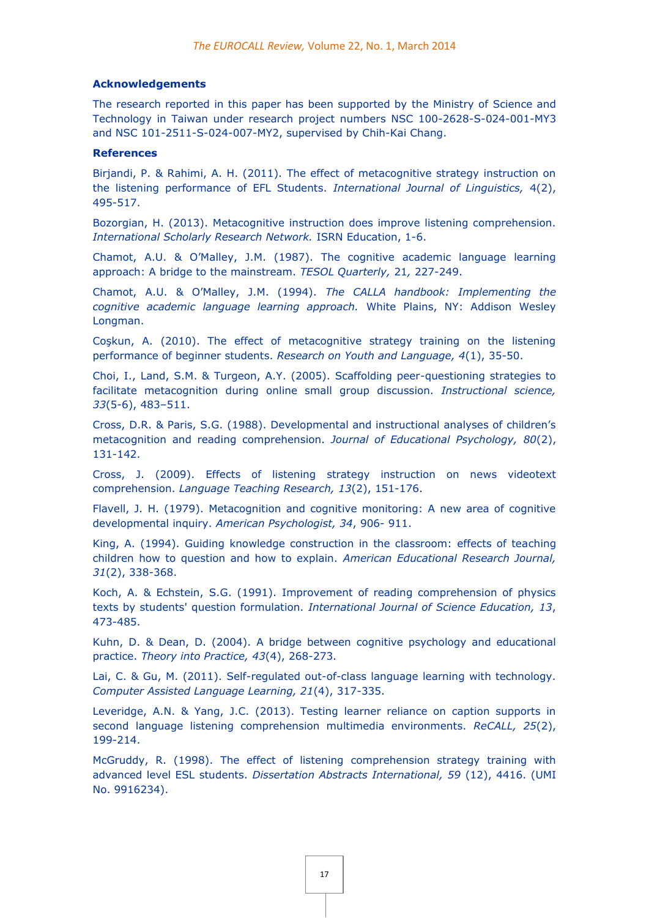#### **Acknowledgements**

The research reported in this paper has been supported by the Ministry of Science and Technology in Taiwan under research project numbers NSC 100-2628-S-024-001-MY3 and NSC 101-2511-S-024-007-MY2, supervised by Chih-Kai Chang.

#### **References**

Birjandi, P. & Rahimi, A. H. (2011). The effect of metacognitive strategy instruction on the listening performance of EFL Students. *International Journal of Linguistics,* 4(2), 495-517.

Bozorgian, H. (2013). Metacognitive instruction does improve listening comprehension. *International Scholarly Research Network.* ISRN Education, 1-6.

Chamot, A.U. & O'Malley, J.M. (1987). The cognitive academic language learning approach: A bridge to the mainstream. *TESOL Quarterly,* 21*,* 227-249.

Chamot, A.U. & O'Malley, J.M. (1994). *The CALLA handbook: Implementing the cognitive academic language learning approach.* White Plains, NY: Addison Wesley Longman.

Coşkun, A. (2010). The effect of metacognitive strategy training on the listening performance of beginner students. *Research on Youth and Language, 4*(1), 35-50.

Choi, I., Land, S.M. & Turgeon, A.Y. (2005). Scaffolding peer-questioning strategies to facilitate metacognition during online small group discussion. *Instructional science, 33*(5-6), 483–511.

Cross, D.R. & Paris, S.G. (1988). Developmental and instructional analyses of children's metacognition and reading comprehension. *Journal of Educational Psychology, 80*(2), 131-142.

Cross, J. (2009). Effects of listening strategy instruction on news videotext comprehension. *Language Teaching Research, 13*(2), 151-176.

Flavell, J. H. (1979). Metacognition and cognitive monitoring: A new area of cognitive developmental inquiry. *American Psychologist, 34*, 906- 911.

King, A. (1994). Guiding knowledge construction in the classroom: effects of teaching children how to question and how to explain. *American Educational Research Journal, 31*(2), 338-368.

Koch, A. & Echstein, S.G. (1991). Improvement of reading comprehension of physics texts by students' question formulation. *International Journal of Science Education, 13*, 473-485.

Kuhn, D. & Dean, D. (2004). A bridge between cognitive psychology and educational practice. *Theory into Practice, 43*(4), 268-273.

Lai, C. & Gu, M. (2011). Self-regulated out-of-class language learning with technology. *Computer Assisted Language Learning, 21*(4), 317-335.

Leveridge, A.N. & Yang, J.C. (2013). Testing learner reliance on caption supports in second language listening comprehension multimedia environments. *ReCALL, 25*(2), 199-214.

McGruddy, R. (1998). The effect of listening comprehension strategy training with advanced level ESL students. *Dissertation Abstracts International, 59* (12), 4416. (UMI No. 9916234).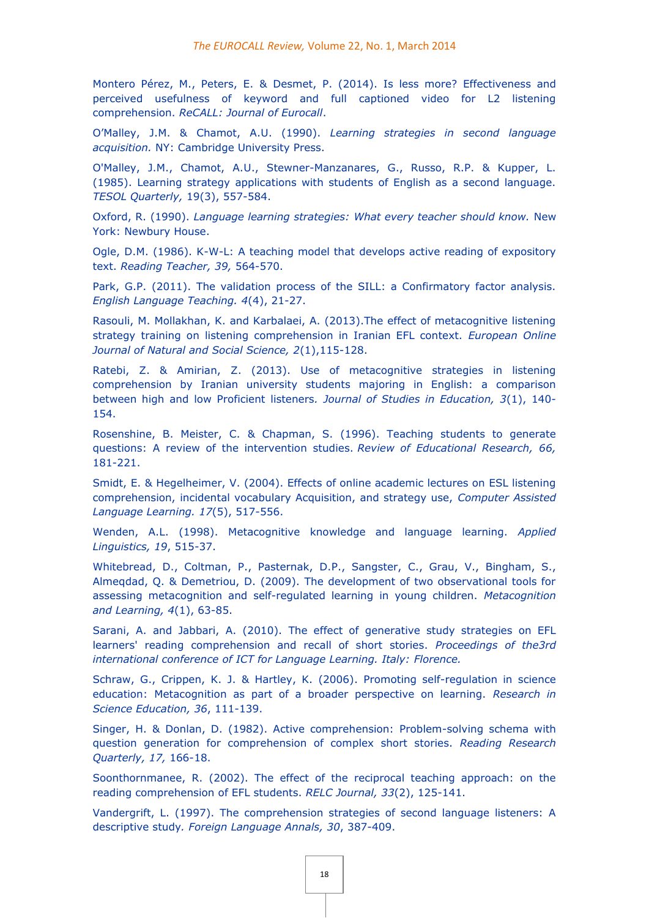Montero Pérez, M., Peters, E. & Desmet, P. (2014). Is less more? Effectiveness and perceived usefulness of keyword and full captioned video for L2 listening comprehension. *ReCALL: Journal of Eurocall*.

O'Malley, J.M. & Chamot, A.U. (1990). *Learning strategies in second language acquisition.* NY: Cambridge University Press.

O'Malley, J.M., Chamot, A.U., Stewner-Manzanares, G., Russo, R.P. & Kupper, L. (1985). Learning strategy applications with students of English as a second language. *TESOL Quarterly,* 19(3), 557-584.

Oxford, R. (1990). *Language learning strategies: What every teacher should know.* New York: Newbury House.

Ogle, D.M. (1986). K-W-L: A teaching model that develops active reading of expository text. *Reading Teacher, 39,* 564-570.

Park, G.P. (2011). The validation process of the SILL: a Confirmatory factor analysis. *English Language Teaching. 4*(4), 21-27.

Rasouli, M. Mollakhan, K. and Karbalaei, A. (2013).The effect of metacognitive listening strategy training on listening comprehension in Iranian EFL context. *European Online Journal of Natural and Social Science, 2*(1),115-128.

Ratebi, Z. & Amirian, Z. (2013). Use of metacognitive strategies in listening comprehension by Iranian university students majoring in English: a comparison between high and low Proficient listeners*. Journal of Studies in Education, 3*(1), 140- 154.

Rosenshine, B. Meister, C. & Chapman, S. (1996). Teaching students to generate questions: A review of the intervention studies. *Review of Educational Research, 66,* 181-221.

Smidt, E. & Hegelheimer, V. (2004). Effects of online academic lectures on ESL listening comprehension, incidental vocabulary Acquisition, and strategy use, *Computer Assisted Language Learning. 17*(5), 517-556.

Wenden, A.L. (1998). Metacognitive knowledge and language learning. *Applied Linguistics, 19*, 515-37.

Whitebread, D., Coltman, P., Pasternak, D.P., Sangster, C., Grau, V., Bingham, S., Almeqdad, Q. & Demetriou, D. (2009). The development of two observational tools for assessing metacognition and self-regulated learning in young children. *Metacognition and Learning, 4*(1), 63-85.

Sarani, A. and Jabbari, A. (2010). The effect of generative study strategies on EFL learners' reading comprehension and recall of short stories. *Proceedings of the3rd international conference of ICT for Language Learning. Italy: Florence.*

Schraw, G., Crippen, K. J. & Hartley, K. (2006). Promoting self-regulation in science education: Metacognition as part of a broader perspective on learning. *Research in Science Education, 36*, 111-139.

Singer, H. & Donlan, D. (1982). Active comprehension: Problem-solving schema with question generation for comprehension of complex short stories. *Reading Research Quarterly, 17,* 166-18.

Soonthornmanee, R. (2002). The effect of the reciprocal teaching approach: on the reading comprehension of EFL students. *RELC Journal, 33*(2), 125-141.

Vandergrift, L. (1997). The comprehension strategies of second language listeners: A descriptive study*. Foreign Language Annals, 30*, 387-409.